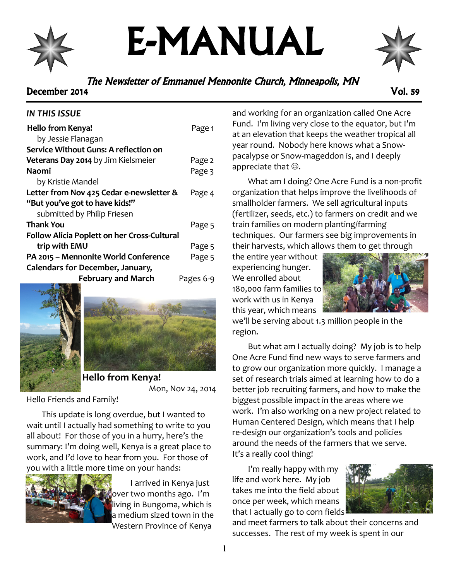

# E-MANUAL



# The Newsletter of Emmanuel Mennonite Church, Minneapolis, MN December 2014 Vol. 59

# *IN THIS ISSUE*

| Hello from Kenya!                                  | Page 1    |
|----------------------------------------------------|-----------|
| by Jessie Flanagan                                 |           |
| Service Without Guns: A reflection on              |           |
| Veterans Day 2014 by Jim Kielsmeier                | Page 2    |
| Naomi                                              | Page 3    |
| by Kristie Mandel                                  |           |
| Letter from Nov 425 Cedar e-newsletter &           | Page 4    |
| "But you've got to have kids!"                     |           |
| submitted by Philip Friesen                        |           |
| Thank You                                          | Page 5    |
| <b>Follow Alicia Poplett on her Cross-Cultural</b> |           |
| trip with EMU                                      | Page 5    |
| PA 2015 - Mennonite World Conference               | Page 5    |
| <b>Calendars for December, January,</b>            |           |
| <b>February and March</b>                          | Pages 6-9 |





**Hello from Kenya!** Mon, Nov 24, 2014

Hello Friends and Family!

This update is long overdue, but I wanted to wait until I actually had something to write to you all about! For those of you in a hurry, here's the summary: I'm doing well, Kenya is a great place to work, and I'd love to hear from you. For those of you with a little more time on your hands:



I arrived in Kenya just over two months ago. I'm living in Bungoma, which is a medium sized town in the Western Province of Kenya

and working for an organization called One Acre Fund. I'm living very close to the equator, but I'm at an elevation that keeps the weather tropical all year round. Nobody here knows what a Snowpacalypse or Snow-mageddon is, and I deeply appreciate that  $\odot$ .

What am I doing? One Acre Fund is a non-profit organization that helps improve the livelihoods of smallholder farmers. We sell agricultural inputs (fertilizer, seeds, etc.) to farmers on credit and we train families on modern planting/farming techniques. Our farmers see big improvements in their harvests, which allows them to get through

the entire year without experiencing hunger. We enrolled about 180,000 farm families to work with us in Kenya this year, which means



we'll be serving about 1.3 million people in the region.

But what am I actually doing? My job is to help One Acre Fund find new ways to serve farmers and to grow our organization more quickly. I manage a set of research trials aimed at learning how to do a better job recruiting farmers, and how to make the biggest possible impact in the areas where we work. I'm also working on a new project related to Human Centered Design, which means that I help re-design our organization's tools and policies around the needs of the farmers that we serve. It's a really cool thing!

I'm really happy with my life and work here. My job takes me into the field about once per week, which means that I actually go to corn fields



and meet farmers to talk about their concerns and successes. The rest of my week is spent in our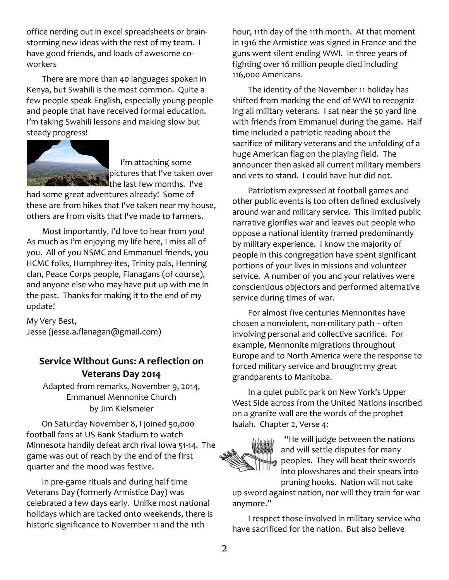office nerding out in excel spreadsheets or brainstorming new ideas with the rest of my team. I have good friends, and loads of awesome coworkers

There are more than 40 languages spoken in Kenya, but Swahili is the most common. Quite a few people speak English, especially young people and people that have received formal education. I'm taking Swahili lessons and making slow but steady progress!



I'm attaching some pictures that I've taken over the last few months. I've

had some great adventures already! Some of these are from hikes that I've taken near my house, others are from visits that I've made to farmers.

Most importantly, I'd love to hear from you! As much as I'm enjoying my life here, I miss all of you. All of you NSMC and Emmanuel friends, you HCMC folks, Humphrey-ites, Trinity pals, Henning clan, Peace Corps people, Flanagans (of course), and anyone else who may have put up with me in the past. Thanks for making it to the end of my update!

My Very Best, Jesse (jesse.a.flanagan@gmail.com)

# **Service Without Guns: A reflection on Veterans Day 2014**

Adapted from remarks, November 9, 2014, Emmanuel Mennonite Church by Jim Kielsmeier

On Saturday November 8, I joined 50,000 football fans at US Bank Stadium to watch Minnesota handily defeat arch rival Iowa 51-14. The game was out of reach by the end of the first quarter and the mood was festive.

In pre-game rituals and during half time Veterans Day (formerly Armistice Day) was celebrated a few days early. Unlike most national holidays which are tacked onto weekends, there is historic significance to November 11 and the 11th

hour, 11th day of the 11th month. At that moment in 1916 the Armistice was signed in France and the guns went silent ending WWI. In three years of fighting over 16 million people died including 116,000 Americans.

The identity of the November 11 holiday has shifted from marking the end of WWI to recognizing all military veterans. I sat near the 50 yard line with friends from Emmanuel during the game. Half time included a patriotic reading about the sacrifice of military veterans and the unfolding of a huge American flag on the playing field. The announcer then asked all current military members and vets to stand. I could have but did not.

Patriotism expressed at football games and other public events is too often defined exclusively around war and military service. This limited public narrative glorifies war and leaves out people who oppose a national identity framed predominantly by military experience. I know the majority of people in this congregation have spent significant portions of your lives in missions and volunteer service. A number of you and your relatives were conscientious objectors and performed alternative service during times of war.

For almost five centuries Mennonites have chosen a nonviolent, non-military path – often involving personal and collective sacrifice. For example, Mennonite migrations throughout Europe and to North America were the response to forced military service and brought my great grandparents to Manitoba.

In a quiet public park on New York's Upper West Side across from the United Nations inscribed on a granite wall are the words of the prophet Isaiah. Chapter 2, Verse 4:



"He will judge between the nations and will settle disputes for many peoples. They will beat their swords into plowshares and their spears into pruning hooks. Nation will not take

up sword against nation, nor will they train for war anymore."

I respect those involved in military service who have sacrificed for the nation. But also believe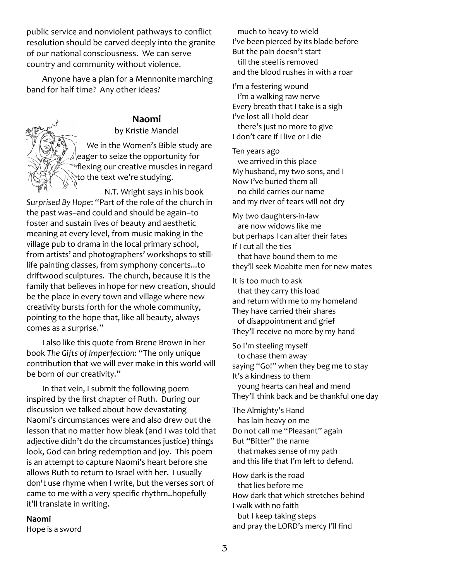public service and nonviolent pathways to conflict resolution should be carved deeply into the granite of our national consciousness. We can serve country and community without violence.

Anyone have a plan for a Mennonite marching band for half time? Any other ideas?

# **Naomi**

by Kristie Mandel

We in the Women's Bible study are  $\vert$ eager to seize the opportunity for flexing our creative muscles in regard to the text we're studying.

N.T. Wright says in his book *Surprised By Hope*: "Part of the role of the church in the past was–and could and should be again–to foster and sustain lives of beauty and aesthetic meaning at every level, from music making in the village pub to drama in the local primary school, from artists' and photographers' workshops to stilllife painting classes, from symphony concerts...to driftwood sculptures. The church, because it is the family that believes in hope for new creation, should be the place in every town and village where new creativity bursts forth for the whole community, pointing to the hope that, like all beauty, always comes as a surprise."

I also like this quote from Brene Brown in her book *The Gifts of Imperfection*: "The only unique contribution that we will ever make in this world will be born of our creativity."

In that vein, I submit the following poem inspired by the first chapter of Ruth. During our discussion we talked about how devastating Naomi's circumstances were and also drew out the lesson that no matter how bleak (and I was told that adjective didn't do the circumstances justice) things look, God can bring redemption and joy. This poem is an attempt to capture Naomi's heart before she allows Ruth to return to Israel with her. I usually don't use rhyme when I write, but the verses sort of came to me with a very specific rhythm..hopefully it'll translate in writing.

#### **Naomi**

Hope is a sword

 much to heavy to wield I've been pierced by its blade before But the pain doesn't start till the steel is removed and the blood rushes in with a roar

I'm a festering wound I'm a walking raw nerve Every breath that I take is a sigh I've lost all I hold dear there's just no more to give I don't care if I live or I die

Ten years ago we arrived in this place My husband, my two sons, and I Now I've buried them all no child carries our name and my river of tears will not dry

My two daughters-in-law are now widows like me but perhaps I can alter their fates If I cut all the ties that have bound them to me they'll seek Moabite men for new mates

It is too much to ask that they carry this load and return with me to my homeland They have carried their shares of disappointment and grief They'll receive no more by my hand

So I'm steeling myself to chase them away saying "Go!" when they beg me to stay It's a kindness to them young hearts can heal and mend They'll think back and be thankful one day

The Almighty's Hand has lain heavy on me Do not call me "Pleasant" again But "Bitter" the name that makes sense of my path and this life that I'm left to defend.

How dark is the road that lies before me How dark that which stretches behind I walk with no faith but I keep taking steps and pray the LORD's mercy I'll find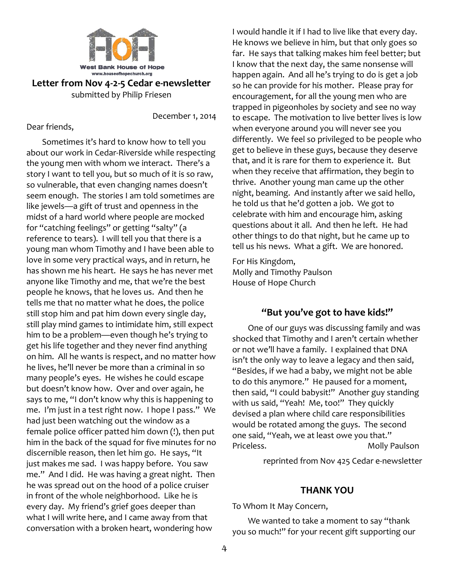

**Letter from Nov 4-2-5 Cedar e-newsletter**

submitted by Philip Friesen

December 1, 2014

#### Dear friends,

Sometimes it's hard to know how to tell you about our work in Cedar-Riverside while respecting the young men with whom we interact. There's a story I want to tell you, but so much of it is so raw, so vulnerable, that even changing names doesn't seem enough. The stories I am told sometimes are like jewels—a gift of trust and openness in the midst of a hard world where people are mocked for "catching feelings" or getting "salty" (a reference to tears). I will tell you that there is a young man whom Timothy and I have been able to love in some very practical ways, and in return, he has shown me his heart. He says he has never met anyone like Timothy and me, that we're the best people he knows, that he loves us. And then he tells me that no matter what he does, the police still stop him and pat him down every single day, still play mind games to intimidate him, still expect him to be a problem—even though he's trying to get his life together and they never find anything on him. All he wants is respect, and no matter how he lives, he'll never be more than a criminal in so many people's eyes. He wishes he could escape but doesn't know how. Over and over again, he says to me, "I don't know why this is happening to me. I'm just in a test right now. I hope I pass." We had just been watching out the window as a female police officer patted him down (!), then put him in the back of the squad for five minutes for no discernible reason, then let him go. He says, "It just makes me sad. I was happy before. You saw me." And I did. He was having a great night. Then he was spread out on the hood of a police cruiser in front of the whole neighborhood. Like he is every day. My friend's grief goes deeper than what I will write here, and I came away from that conversation with a broken heart, wondering how

I would handle it if I had to live like that every day. He knows we believe in him, but that only goes so far. He says that talking makes him feel better; but I know that the next day, the same nonsense will happen again. And all he's trying to do is get a job so he can provide for his mother. Please pray for encouragement, for all the young men who are trapped in pigeonholes by society and see no way to escape. The motivation to live better lives is low when everyone around you will never see you differently. We feel so privileged to be people who get to believe in these guys, because they deserve that, and it is rare for them to experience it. But when they receive that affirmation, they begin to thrive. Another young man came up the other night, beaming. And instantly after we said hello, he told us that he'd gotten a job. We got to celebrate with him and encourage him, asking questions about it all. And then he left. He had other things to do that night, but he came up to tell us his news. What a gift. We are honored.

For His Kingdom, Molly and Timothy Paulson House of Hope Church

## **"But you've got to have kids!"**

One of our guys was discussing family and was shocked that Timothy and I aren't certain whether or not we'll have a family. I explained that DNA isn't the only way to leave a legacy and then said, "Besides, if we had a baby, we might not be able to do this anymore." He paused for a moment, then said, "I could babysit!" Another guy standing with us said, "Yeah! Me, too!" They quickly devised a plan where child care responsibilities would be rotated among the guys. The second one said, "Yeah, we at least owe you that." Priceless. Molly Paulson

reprinted from Nov 425 Cedar e-newsletter

#### **THANK YOU**

To Whom It May Concern,

We wanted to take a moment to say "thank you so much!" for your recent gift supporting our